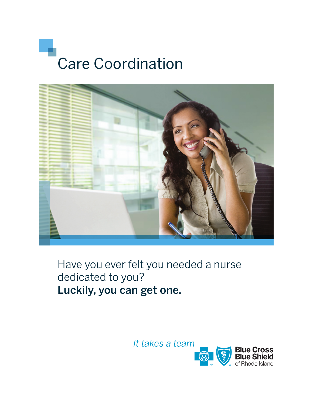



Have you ever felt you needed a nurse dedicated to you? Luckily, you can get one.

It takes a team

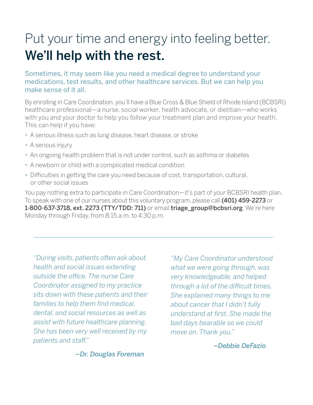# Put your time and energy into feeling better. We'll help with the rest.

### Sometimes, it may seem like you need a medical degree to understand your medications, test results, and other healthcare services. But we can help you make sense of it all.

By enrolling in Care Coordination, you'll have a Blue Cross & Blue Shield of Rhode Island (BCBSRI) healthcare professional—a nurse, social worker, health advocate, or dietitian—who works with you and your doctor to help you follow your treatment plan and improve your health. This can help if you have:

- A serious illness such as lung disease, heart disease, or stroke
- A serious injury
- An ongoing health problem that is not under control, such as asthma or diabetes
- A newborn or child with a complicated medical condition
- Difficulties in getting the care you need because of cost, transportation, cultural, or other social issues

You pay nothing extra to participate in Care Coordination—it's part of your BCBSRI health plan. To speak with one of our nurses about this voluntary program, please call (401) 459-2273 or 1-800-637-3718, ext. 2273 (TTY/TDD: 711) or email triage\_group@bcbsri.org. We're here Monday through Friday, from 8:15 a.m. to 4:30 p.m.

*"During visits, patients often ask about health and social issues extending outside the office. The nurse Care Coordinator assigned to my practice sits down with these patients and their families to help them find medical, dental, and social resources as well as assist with future healthcare planning. She has been very well received by my patients and staff."*

*"My Care Coordinator understood what we were going through, was very knowledgeable, and helped through a lot of the difficult times. She explained many things to me about cancer that I didn't fully understand at first. She made the bad days bearable so we could move on. Thank you."* 

 *–Debbie DeFazio*

 *–Dr. Douglas Foreman*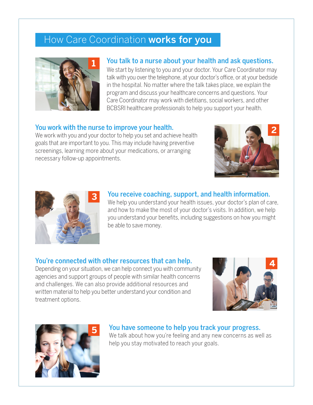## How Care Coordination works for you



### You talk to a nurse about your health and ask questions.

We start by listening to you and your doctor. Your Care Coordinator may talk with you over the telephone, at your doctor's office, or at your bedside in the hospital. No matter where the talk takes place, we explain the program and discuss your healthcare concerns and questions. Your Care Coordinator may work with dietitians, social workers, and other BCBSRI healthcare professionals to help you support your health.

#### You work with the nurse to improve your health.

We work with you and your doctor to help you set and achieve health goals that are important to you. This may include having preventive screenings, learning more about your medications, or arranging necessary follow-up appointments.





### You receive coaching, support, and health information.

We help you understand your health issues, your doctor's plan of care, and how to make the most of your doctor's visits. In addition, we help you understand your benefits, including suggestions on how you might be able to save money.

### You're connected with other resources that can help.

Depending on your situation, we can help connect you with community agencies and support groups of people with similar health concerns and challenges. We can also provide additional resources and written material to help you better understand your condition and treatment options.





## You have someone to help you track your progress.

We talk about how you're feeling and any new concerns as well as help you stay motivated to reach your goals.